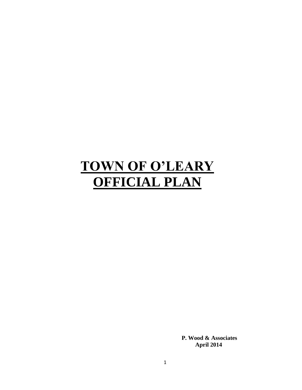# **TOWN OF O'LEARY OFFICIAL PLAN**

**P. Wood & Associates April 2014**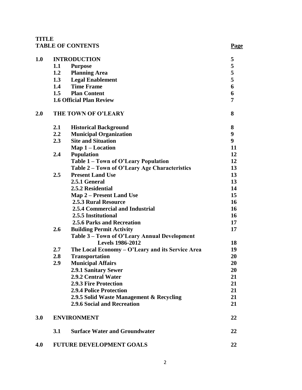# **TITLE TABLE OF CONTENTS Page**

| 1.0 |                  | <b>INTRODUCTION</b>                              | 5                |
|-----|------------------|--------------------------------------------------|------------------|
|     | 1.1              | <b>Purpose</b>                                   | 5                |
|     | 1.2              | <b>Planning Area</b>                             | 5                |
|     | 1.3              | <b>Legal Enablement</b>                          | 5                |
|     | 1.4              | <b>Time Frame</b>                                | 6                |
|     |                  | 1.5 Plan Content                                 | 6                |
|     |                  | <b>1.6 Official Plan Review</b>                  | 7                |
| 2.0 |                  | THE TOWN OF O'LEARY                              | 8                |
|     | 2.1              | <b>Historical Background</b>                     | 8                |
|     | $2.2\phantom{0}$ | <b>Municipal Organization</b>                    | 9                |
|     | 2.3              | <b>Site and Situation</b>                        | $\boldsymbol{9}$ |
|     |                  | $Map 1 - Location$                               | 11               |
|     | 2.4              | <b>Population</b>                                | 12               |
|     |                  | Table 1 - Town of O'Leary Population             | 12               |
|     |                  | Table 2 – Town of O'Leary Age Characteristics    | 13               |
|     | 2.5              | <b>Present Land Use</b>                          | 13               |
|     |                  | 2.5.1 General                                    | 13               |
|     |                  | 2.5.2 Residential                                | 14               |
|     |                  | Map 2 – Present Land Use                         | 15               |
|     |                  | <b>2.5.3 Rural Resource</b>                      | 16               |
|     |                  | 2.5.4 Commercial and Industrial                  | 16               |
|     |                  | 2.5.5 Institutional                              | 16               |
|     |                  | <b>2.5.6 Parks and Recreation</b>                | 17               |
|     | 2.6              | <b>Building Permit Activity</b>                  | 17               |
|     |                  | Table 3 – Town of O'Leary Annual Development     |                  |
|     |                  | <b>Levels 1986-2012</b>                          | 18               |
|     | $2.7^{\circ}$    | The Local Economy – O'Leary and its Service Area | 19               |
|     | 2.8              | <b>Transportation</b>                            | 20               |
|     | 2.9              | <b>Municipal Affairs</b>                         | 20               |
|     |                  | <b>2.9.1 Sanitary Sewer</b>                      | 20               |
|     |                  | 2.9.2 Central Water                              | 21               |
|     |                  | <b>2.9.3 Fire Protection</b>                     | 21               |
|     |                  | <b>2.9.4 Police Protection</b>                   | 21               |
|     |                  | 2.9.5 Solid Waste Management & Recycling         | 21               |
|     |                  | 2.9.6 Social and Recreation                      | 21               |
| 3.0 |                  | <b>ENVIRONMENT</b>                               | 22               |
|     | 3.1              | <b>Surface Water and Groundwater</b>             | 22               |
| 4.0 |                  | <b>FUTURE DEVELOPMENT GOALS</b>                  | 22               |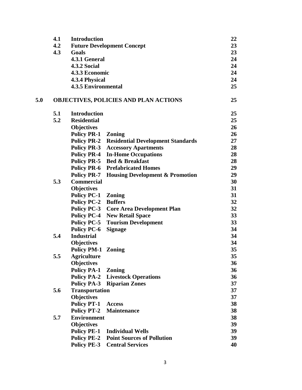|     | 4.1 | <b>Introduction</b>        |                                               | 22              |
|-----|-----|----------------------------|-----------------------------------------------|-----------------|
|     | 4.2 |                            | <b>Future Development Concept</b>             | 23              |
|     | 4.3 | Goals                      |                                               | 23              |
|     |     | 4.3.1 General              |                                               | 24              |
|     |     | <b>4.3.2 Social</b>        |                                               | 24              |
|     |     | 4.3.3 Economic             |                                               | 24              |
|     |     | 4.3.4 Physical             |                                               | 24              |
|     |     | <b>4.3.5 Environmental</b> |                                               | 25              |
| 5.0 |     |                            | <b>OBJECTIVES, POLICIES AND PLAN ACTIONS</b>  | 25              |
|     | 5.1 | <b>Introduction</b>        |                                               | 25              |
|     | 5.2 | <b>Residential</b>         |                                               | 25              |
|     |     | <b>Objectives</b>          |                                               | 26              |
|     |     | <b>Policy PR-1</b>         | <b>Zoning</b>                                 | 26              |
|     |     | <b>Policy PR-2</b>         | <b>Residential Development Standards</b>      | 27              |
|     |     | <b>Policy PR-3</b>         | <b>Accessory Apartments</b>                   | 28              |
|     |     | <b>Policy PR-4</b>         | <b>In-Home Occupations</b>                    | 28              |
|     |     | <b>Policy PR-5</b>         | <b>Bed &amp; Breakfast</b>                    | 28              |
|     |     | <b>Policy PR-6</b>         | <b>Prefabricated Homes</b>                    | 29              |
|     |     | <b>Policy PR-7</b>         | <b>Housing Development &amp; Promotion</b>    | 29              |
|     | 5.3 | <b>Commercial</b>          |                                               | 30              |
|     |     | <b>Objectives</b>          |                                               | 31              |
|     |     | <b>Policy PC-1</b>         | <b>Zoning</b>                                 | 31              |
|     |     | <b>Policy PC-2</b>         | <b>Buffers</b>                                | 32              |
|     |     |                            | <b>Policy PC-3</b> Core Area Development Plan | 32              |
|     |     | <b>Policy PC-4</b>         | <b>New Retail Space</b>                       | 33              |
|     |     | <b>Policy PC-5</b>         | <b>Tourism Development</b>                    | 33              |
|     |     | <b>Policy PC-6</b>         | <b>Signage</b>                                | 34              |
|     | 5.4 | <b>Industrial</b>          |                                               | 34              |
|     |     | <b>Objectives</b>          |                                               | 34              |
|     |     | <b>Policy PM-1 Zoning</b>  |                                               | 35              |
|     | 5.5 | <b>Agriculture</b>         |                                               | 35 <sub>1</sub> |
|     |     | <b>Objectives</b>          |                                               | 36              |
|     |     | <b>Policy PA-1 Zoning</b>  |                                               | 36              |
|     |     |                            | <b>Policy PA-2 Livestock Operations</b>       | 36              |
|     |     |                            | <b>Policy PA-3 Riparian Zones</b>             | 37              |
|     | 5.6 | <b>Transportation</b>      |                                               | 37              |
|     |     | <b>Objectives</b>          |                                               | 37              |
|     |     | <b>Policy PT-1 Access</b>  |                                               | 38              |
|     |     | <b>Policy PT-2</b>         | Maintenance                                   | 38              |
|     | 5.7 | <b>Environment</b>         |                                               | 38              |
|     |     | <b>Objectives</b>          |                                               | 39              |
|     |     | <b>Policy PE-1</b>         | <b>Individual Wells</b>                       | 39              |
|     |     | <b>Policy PE-2</b>         | <b>Point Sources of Pollution</b>             | 39              |
|     |     |                            | <b>Policy PE-3</b> Central Services           | 40              |
|     |     |                            |                                               |                 |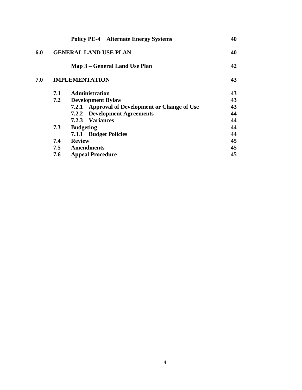|     | <b>Policy PE-4</b> Alternate Energy Systems              | 40                                                                      |
|-----|----------------------------------------------------------|-------------------------------------------------------------------------|
|     |                                                          | 40                                                                      |
|     | Map 3 – General Land Use Plan                            | 42                                                                      |
|     |                                                          | 43                                                                      |
| 7.1 | <b>Administration</b>                                    | 43                                                                      |
| 7.2 | <b>Development Bylaw</b>                                 | 43                                                                      |
|     | <b>Approval of Development or Change of Use</b><br>7.2.1 | 43                                                                      |
|     | <b>7.2.2 Development Agreements</b>                      | 44                                                                      |
|     | 7.2.3 Variances                                          | 44                                                                      |
| 7.3 | <b>Budgeting</b>                                         | 44                                                                      |
|     | 7.3.1 Budget Policies                                    | 44                                                                      |
| 7.4 | <b>Review</b>                                            | 45                                                                      |
|     |                                                          | 45                                                                      |
| 7.6 | <b>Appeal Procedure</b>                                  | 45                                                                      |
|     |                                                          | <b>GENERAL LAND USE PLAN</b><br><b>IMPLEMENTATION</b><br>7.5 Amendments |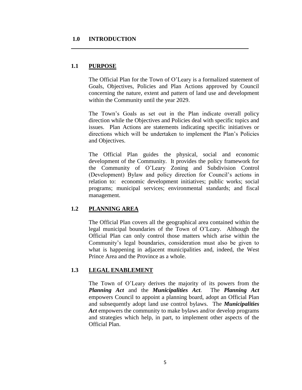#### **1.0 INTRODUCTION**

# **1.1 PURPOSE**

The Official Plan for the Town of O'Leary is a formalized statement of Goals, Objectives, Policies and Plan Actions approved by Council concerning the nature, extent and pattern of land use and development within the Community until the year 2029.

The Town's Goals as set out in the Plan indicate overall policy direction while the Objectives and Policies deal with specific topics and issues. Plan Actions are statements indicating specific initiatives or directions which will be undertaken to implement the Plan's Policies and Objectives.

The Official Plan guides the physical, social and economic development of the Community. It provides the policy framework for the Community of O'Leary Zoning and Subdivision Control (Development) Bylaw and policy direction for Council's actions in relation to: economic development initiatives; public works; social programs; municipal services; environmental standards; and fiscal management.

# **1.2 PLANNING AREA**

The Official Plan covers all the geographical area contained within the legal municipal boundaries of the Town of O'Leary. Although the Official Plan can only control those matters which arise within the Community's legal boundaries, consideration must also be given to what is happening in adjacent municipalities and, indeed, the West Prince Area and the Province as a whole.

# **1.3 LEGAL ENABLEMENT**

The Town of O'Leary derives the majority of its powers from the *Planning Act* and the *Municipalities Act*. The *Planning Act* empowers Council to appoint a planning board, adopt an Official Plan and subsequently adopt land use control bylaws. The *Municipalities*  Act empowers the community to make bylaws and/or develop programs and strategies which help, in part, to implement other aspects of the Official Plan.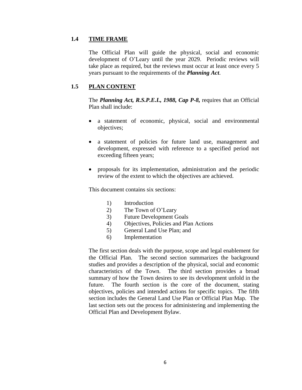# **1.4 TIME FRAME**

The Official Plan will guide the physical, social and economic development of O'Leary until the year 2029. Periodic reviews will take place as required, but the reviews must occur at least once every 5 years pursuant to the requirements of the *Planning Act*.

# **1.5 PLAN CONTENT**

The *Planning Act, R.S.P.E.I., 1988, Cap P-8,* requires that an Official Plan shall include:

- a statement of economic, physical, social and environmental objectives;
- a statement of policies for future land use, management and development, expressed with reference to a specified period not exceeding fifteen years;
- proposals for its implementation, administration and the periodic review of the extent to which the objectives are achieved.

This document contains six sections:

- 1) Introduction
- 2) The Town of O'Leary
- 3) Future Development Goals
- 4) Objectives, Policies and Plan Actions
- 5) General Land Use Plan; and
- 6) Implementation

The first section deals with the purpose, scope and legal enablement for the Official Plan. The second section summarizes the background studies and provides a description of the physical, social and economic characteristics of the Town. The third section provides a broad summary of how the Town desires to see its development unfold in the future. The fourth section is the core of the document, stating objectives, policies and intended actions for specific topics. The fifth section includes the General Land Use Plan or Official Plan Map. The last section sets out the process for administering and implementing the Official Plan and Development Bylaw.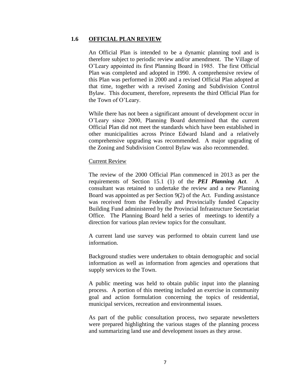#### **1.6 OFFICIAL PLAN REVIEW**

An Official Plan is intended to be a dynamic planning tool and is therefore subject to periodic review and/or amendment. The Village of O'Leary appointed its first Planning Board in 1985. The first Official Plan was completed and adopted in 1990. A comprehensive review of this Plan was performed in 2000 and a revised Official Plan adopted at that time, together with a revised Zoning and Subdivision Control Bylaw. This document, therefore, represents the third Official Plan for the Town of O'Leary.

While there has not been a significant amount of development occur in O'Leary since 2000, Planning Board determined that the current Official Plan did not meet the standards which have been established in other municipalities across Prince Edward Island and a relatively comprehensive upgrading was recommended. A major upgrading of the Zoning and Subdivision Control Bylaw was also recommended.

#### Current Review

The review of the 2000 Official Plan commenced in 2013 as per the requirements of Section 15.1 (1) of the *PEI Planning Act*. A consultant was retained to undertake the review and a new Planning Board was appointed as per Section 9(2) of the Act. Funding assistance was received from the Federally and Provincially funded Capacity Building Fund administered by the Provincial Infrastructure Secretariat Office. The Planning Board held a series of meetings to identify a direction for various plan review topics for the consultant.

A current land use survey was performed to obtain current land use information.

Background studies were undertaken to obtain demographic and social information as well as information from agencies and operations that supply services to the Town.

A public meeting was held to obtain public input into the planning process. A portion of this meeting included an exercise in community goal and action formulation concerning the topics of residential, municipal services, recreation and environmental issues.

As part of the public consultation process, two separate newsletters were prepared highlighting the various stages of the planning process and summarizing land use and development issues as they arose.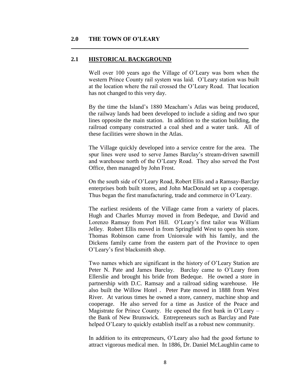## **2.0 THE TOWN OF O'LEARY**

#### **2.1 HISTORICAL BACKGROUND**

Well over 100 years ago the Village of O'Leary was born when the western Prince County rail system was laid. O'Leary station was built at the location where the rail crossed the O'Leary Road. That location has not changed to this very day.

By the time the Island's 1880 Meacham's Atlas was being produced, the railway lands had been developed to include a siding and two spur lines opposite the main station. In addition to the station building, the railroad company constructed a coal shed and a water tank. All of these facilities were shown in the Atlas.

The Village quickly developed into a service centre for the area. The spur lines were used to serve James Barclay's stream-driven sawmill and warehouse north of the O'Leary Road. They also served the Post Office, then managed by John Frost.

On the south side of O'Leary Road, Robert Ellis and a Ramsay-Barclay enterprises both built stores, and John MacDonald set up a cooperage. Thus began the first manufacturing, trade and commerce in O'Leary.

The earliest residents of the Village came from a variety of places. Hugh and Charles Murray moved in from Bedeque, and David and Lorenzo Ramsay from Port Hill. O'Leary's first tailor was William Jelley. Robert Ellis moved in from Springfield West to open his store. Thomas Robinson came from Unionvale with his family, and the Dickens family came from the eastern part of the Province to open O'Leary's first blacksmith shop.

Two names which are significant in the history of O'Leary Station are Peter N. Pate and James Barclay. Barclay came to O'Leary from Ellerslie and brought his bride from Bedeque. He owned a store in partnership with D.C. Ramsay and a railroad siding warehouse. He also built the Willow Hotel . Peter Pate moved in 1888 from West River. At various times he owned a store, cannery, machine shop and cooperage. He also served for a time as Justice of the Peace and Magistrate for Prince County. He opened the first bank in O'Leary – the Bank of New Brunswick. Entrepreneurs such as Barclay and Pate helped O'Leary to quickly establish itself as a robust new community.

In addition to its entrepreneurs, O'Leary also had the good fortune to attract vigorous medical men. In 1886, Dr. Daniel McLaughlin came to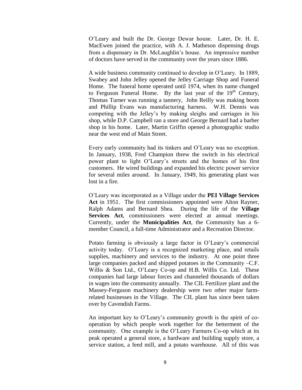O'Leary and built the Dr. George Dewar house. Later, Dr. H. E. MacEwen joined the practice, with A. J. Matheson dispensing drugs from a dispensary in Dr. McLaughlin's house. An impressive number of doctors have served in the community over the years since 1886.

A wide business community continued to develop in O'Leary. In 1889, Swabey and John Jelley opened the Jelley Carriage Shop and Funeral Home. The funeral home operated until 1974, when its name changed to Ferguson Funeral Home. By the last year of the  $19<sup>th</sup>$  Century, Thomas Turner was running a tannery, John Reilly was making boots and Phillip Evans was manufacturing harness. W.H. Dennis was competing with the Jelley's by making sleighs and carriages in his shop, while D.P. Campbell ran a store and George Bernard had a barber shop in his home. Later, Martin Griffin opened a photographic studio near the west end of Main Street.

Every early community had its tinkers and O'Leary was no exception. In January, 1938, Fred Champion threw the switch in his electrical power plant to light O'Leary's streets and the homes of his first customers. He wired buildings and expanded his electric power service for several miles around. In January, 1949, his generating plant was lost in a fire.

O'Leary was incorporated as a Village under the **PEI Village Services Act** in 1951. The first commissioners appointed were Alton Rayner, Ralph Adams and Bernard Shea. During the life of the **Village**  Services Act, commissioners were elected at annual meetings. Currently, under the **Municipalities Act**, the Community has a 6 member Council, a full-time Administrator and a Recreation Director.

Potato farming is obviously a large factor in O'Leary's commercial activity today. O'Leary is a recognized marketing place, and retails supplies, machinery and services to the industry. At one point three large companies packed and shipped potatoes in the Community –C.F. Willis & Son Ltd., O'Leary Co-op and H.B. Willis Co. Ltd. These companies had large labour forces and channeled thousands of dollars in wages into the community annually. The CIL Fertilizer plant and the Massey-Ferguson machinery dealership were two other major farmrelated businesses in the Village. The CIL plant has since been taken over by Cavendish Farms.

An important key to O'Leary's community growth is the spirit of cooperation by which people work together for the betterment of the community. One example is the O'Leary Farmers Co-op which at its peak operated a general store, a hardware and building supply store, a service station, a feed mill, and a potato warehouse. All of this was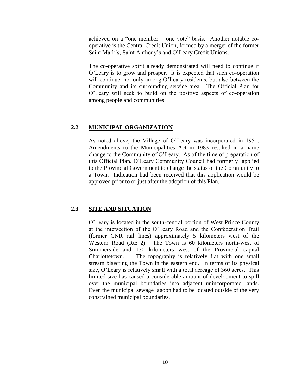achieved on a "one member – one vote" basis. Another notable cooperative is the Central Credit Union, formed by a merger of the former Saint Mark's, Saint Anthony's and O'Leary Credit Unions.

The co-operative spirit already demonstrated will need to continue if O'Leary is to grow and prosper. It is expected that such co-operation will continue, not only among O'Leary residents, but also between the Community and its surrounding service area. The Official Plan for O'Leary will seek to build on the positive aspects of co-operation among people and communities.

## **2.2 MUNICIPAL ORGANIZATION**

As noted above, the Village of O'Leary was incorporated in 1951. Amendments to the Municipalities Act in 1983 resulted in a name change to the Community of O'Leary. As of the time of preparation of this Official Plan, O'Leary Community Council had formerly applied to the Provincial Government to change the status of the Community to a Town. Indication had been received that this application would be approved prior to or just after the adoption of this Plan.

## **2.3 SITE AND SITUATION**

O'Leary is located in the south-central portion of West Prince County at the intersection of the O'Leary Road and the Confederation Trail (former CNR rail lines) approximately 5 kilometers west of the Western Road (Rte 2). The Town is 60 kilometers north-west of Summerside and 130 kilometers west of the Provincial capital Charlottetown. The topography is relatively flat with one small stream bisecting the Town in the eastern end. In terms of its physical size, O'Leary is relatively small with a total acreage of 360 acres. This limited size has caused a considerable amount of development to spill over the municipal boundaries into adjacent unincorporated lands. Even the municipal sewage lagoon had to be located outside of the very constrained municipal boundaries.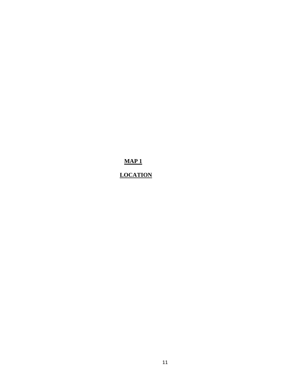**MAP 1**

# **LOCATION**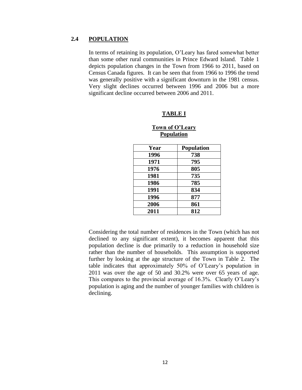## **2.4 POPULATION**

In terms of retaining its population, O'Leary has fared somewhat better than some other rural communities in Prince Edward Island. Table 1 depicts population changes in the Town from 1966 to 2011, based on Census Canada figures. It can be seen that from 1966 to 1996 the trend was generally positive with a significant downturn in the 1981 census. Very slight declines occurred between 1996 and 2006 but a more significant decline occurred between 2006 and 2011.

#### **TABLE I**

## **Town of O'Leary Population**

| Year | <b>Population</b> |
|------|-------------------|
| 1996 | 738               |
| 1971 | 795               |
| 1976 | 805               |
| 1981 | 735               |
| 1986 | 785               |
| 1991 | 834               |
| 1996 | 877               |
| 2006 | 861               |
| 2011 | 812               |

Considering the total number of residences in the Town (which has not declined to any significant extent), it becomes apparent that this population decline is due primarily to a reduction in household size rather than the number of households. This assumption is supported further by looking at the age structure of the Town in Table 2. The table indicates that approximately 50% of O'Leary's population in 2011 was over the age of 50 and 30.2% were over 65 years of age. This compares to the provincial average of 16.3%. Clearly O'Leary's population is aging and the number of younger families with children is declining.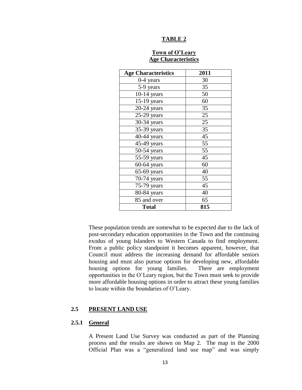#### **TABLE 2**

# **Town of O'Leary Age Characteristics**

| <b>Age Characteristics</b> | 2011 |
|----------------------------|------|
| 0-4 years                  | 30   |
| 5-9 years                  | 35   |
| $10-14$ years              | 50   |
| $15-19$ years              | 60   |
| $20-24$ years              | 35   |
| $25-29$ years              | 25   |
| 30-34 years                | 25   |
| 35-39 years                | 35   |
| 40-44 years                | 45   |
| 45-49 years                | 55   |
| 50-54 years                | 55   |
| 55-59 years                | 45   |
| $60-64$ years              | 60   |
| $65-69$ years              | 40   |
| 70-74 years                | 55   |
| 75-79 years                | 45   |
| 80-84 years                | 40   |
| 85 and over                | 65   |
| <b>Total</b>               | 815  |

These population trends are somewhat to be expected due to the lack of post-secondary education opportunities in the Town and the continuing exodus of young Islanders to Western Canada to find employment. From a public policy standpoint it becomes apparent, however, that Council must address the increasing demand for affordable seniors housing and must also pursue options for developing new, affordable housing options for young families. There are employment opportunities in the O'Leary region, but the Town must seek to provide more affordable housing options in order to attract these young families to locate within the boundaries of O'Leary.

#### **2.5 PRESENT LAND USE**

#### **2.5.1 General**

A Present Land Use Survey was conducted as part of the Planning process and the results are shown on Map 2. The map in the 2000 Official Plan was a "generalized land use map" and was simply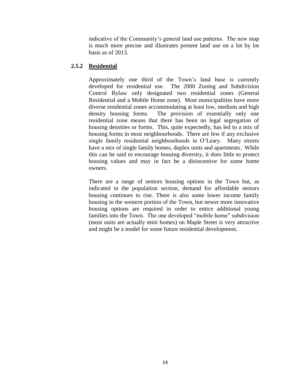indicative of the Community's general land use patterns. The new map is much more precise and illustrates present land use on a lot by lot basis as of 2013.

# **2.5.2 Residential**

Approximately one third of the Town's land base is currently developed for residential use. The 2000 Zoning and Subdivision Control Bylaw only designated two residential zones (General Residential and a Mobile Home zone). Most municipalities have more diverse residential zones accommodating at least low, medium and high density housing forms. The provision of essentially only one residential zone means that there has been no legal segregation of housing densities or forms. This, quite expectedly, has led to a mix of housing forms in most neighbourhoods. There are few if any exclusive single family residential neighbourhoods in O'Leary. Many streets have a mix of single family homes, duplex units and apartments. While this can be said to encourage housing diversity, it does little to protect housing values and may in fact be a disincentive for some home owners.

There are a range of seniors housing options in the Town but, as indicated in the population section, demand for affordable seniors housing continues to rise. There is also some lower income family housing in the western portion of the Town, but newer more innovative housing options are required in order to entice additional young families into the Town. The one developed "mobile home" subdivision (most units are actually mini homes) on Maple Street is very attractive and might be a model for some future residential development.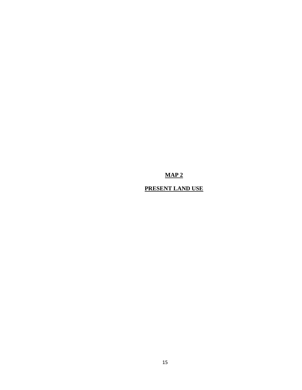# **MAP 2**

# **PRESENT LAND USE**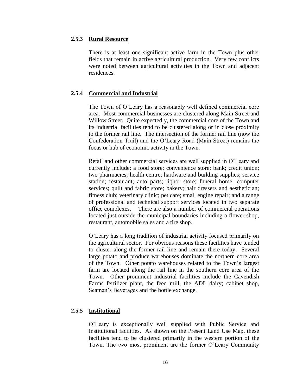#### **2.5.3 Rural Resource**

There is at least one significant active farm in the Town plus other fields that remain in active agricultural production. Very few conflicts were noted between agricultural activities in the Town and adjacent residences.

# **2.5.4 Commercial and Industrial**

The Town of O'Leary has a reasonably well defined commercial core area. Most commercial businesses are clustered along Main Street and Willow Street. Quite expectedly, the commercial core of the Town and its industrial facilities tend to be clustered along or in close proximity to the former rail line. The intersection of the former rail line (now the Confederation Trail) and the O'Leary Road (Main Street) remains the focus or hub of economic activity in the Town.

Retail and other commercial services are well supplied in O'Leary and currently include: a food store; convenience store; bank; credit union; two pharmacies; health centre; hardware and building supplies; service station; restaurant; auto parts; liquor store; funeral home; computer services; quilt and fabric store; bakery; hair dressers and aesthetician; fitness club; veterinary clinic; pet care; small engine repair; and a range of professional and technical support services located in two separate office complexes. There are also a number of commercial operations located just outside the municipal boundaries including a flower shop, restaurant, automobile sales and a tire shop.

O'Leary has a long tradition of industrial activity focused primarily on the agricultural sector. For obvious reasons these facilities have tended to cluster along the former rail line and remain there today. Several large potato and produce warehouses dominate the northern core area of the Town. Other potato warehouses related to the Town's largest farm are located along the rail line in the southern core area of the Town. Other prominent industrial facilities include the Cavendish Farms fertilizer plant, the feed mill, the ADL dairy; cabinet shop, Seaman's Beverages and the bottle exchange.

# **2.5.5 Institutional**

O'Leary is exceptionally well supplied with Public Service and Institutional facilities. As shown on the Present Land Use Map, these facilities tend to be clustered primarily in the western portion of the Town. The two most prominent are the former O'Leary Community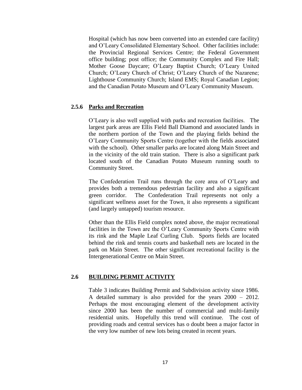Hospital (which has now been converted into an extended care facility) and O'Leary Consolidated Elementary School. Other facilities include: the Provincial Regional Services Centre; the Federal Government office building; post office; the Community Complex and Fire Hall; Mother Goose Daycare; O'Leary Baptist Church; O'Leary United Church; O'Leary Church of Christ; O'Leary Church of the Nazarene; Lighthouse Community Church; Island EMS; Royal Canadian Legion; and the Canadian Potato Museum and O'Leary Community Museum.

#### **2.5.6 Parks and Recreation**

O'Leary is also well supplied with parks and recreation facilities. The largest park areas are Ellis Field Ball Diamond and associated lands in the northern portion of the Town and the playing fields behind the O'Leary Community Sports Centre (together with the fields associated with the school). Other smaller parks are located along Main Street and in the vicinity of the old train station. There is also a significant park located south of the Canadian Potato Museum running south to Community Street.

The Confederation Trail runs through the core area of O'Leary and provides both a tremendous pedestrian facility and also a significant green corridor. The Confederation Trail represents not only a significant wellness asset for the Town, it also represents a significant (and largely untapped) tourism resource.

Other than the Ellis Field complex noted above, the major recreational facilities in the Town are the O'Leary Community Sports Centre with its rink and the Maple Leaf Curling Club. Sports fields are located behind the rink and tennis courts and basketball nets are located in the park on Main Street. The other significant recreational facility is the Intergenerational Centre on Main Street.

## **2.6 BUILDING PERMIT ACTIVITY**

Table 3 indicates Building Permit and Subdivision activity since 1986. A detailed summary is also provided for the years 2000 – 2012. Perhaps the most encouraging element of the development activity since 2000 has been the number of commercial and multi-family residential units. Hopefully this trend will continue. The cost of providing roads and central services has o doubt been a major factor in the very low number of new lots being created in recent years.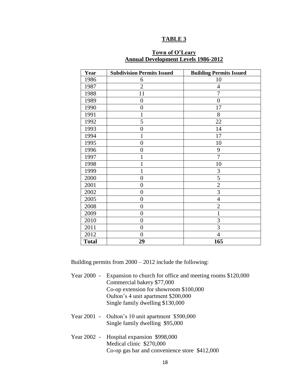#### **TABLE 3**

| Year         | <b>Subdivision Permits Issued</b> | <b>Building Permits Issued</b> |
|--------------|-----------------------------------|--------------------------------|
| 1986         | 6                                 | 10                             |
| 1987         | $\overline{2}$                    | 4                              |
| 1988         | 11                                | $\overline{7}$                 |
| 1989         | $\overline{0}$                    | $\overline{0}$                 |
| 1990         | $\overline{0}$                    | 17                             |
| 1991         | 1                                 | 8                              |
| 1992         | 5                                 | 22                             |
| 1993         | $\boldsymbol{0}$                  | 14                             |
| 1994         | 1                                 | 17                             |
| 1995         | $\overline{0}$                    | 10                             |
| 1996         | $\overline{0}$                    | 9                              |
| 1997         | 1                                 | 7                              |
| 1998         | 1                                 | 10                             |
| 1999         | 1                                 | 3                              |
| 2000         | $\overline{0}$                    | 5                              |
| 2001         | $\boldsymbol{0}$                  | $\overline{2}$                 |
| 2002         | $\overline{0}$                    | 3                              |
| 2005         | $\overline{0}$                    | $\overline{4}$                 |
| 2008         | $\overline{0}$                    | $\overline{2}$                 |
| 2009         | $\overline{0}$                    | 1                              |
| 2010         | $\overline{0}$                    | 3                              |
| 2011         | $\overline{0}$                    | 3                              |
| 2012         | $\overline{0}$                    | $\overline{4}$                 |
| <b>Total</b> | 29                                | 165                            |

# **Town of O'Leary Annual Development Levels 1986-2012**

Building permits from 2000 – 2012 include the following:

- Year 2000 Expansion to church for office and meeting rooms \$120,000 Commercial bakery \$77,000 Co-op extension for showroom \$100,000 Oulton's 4 unit apartment \$200,000 Single family dwelling \$130,000
- Year 2001 Oulton's 10 unit apartment \$500,000 Single family dwelling \$95,000
- Year 2002 Hospital expansion \$998,000 Medical clinic \$270,000 Co-op gas bar and convenience store \$412,000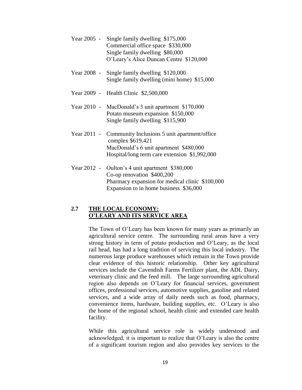| Year $2005$ - Single family dwelling \$175,000 |  |
|------------------------------------------------|--|
| Commercial office space \$330,000              |  |
| Single family dwelling \$80,000                |  |
| O'Leary's Alice Duncan Centre \$120,000        |  |
|                                                |  |

- Year 2008 Single family dwelling \$120,000 Single family dwelling (mini home) \$15,000
- Year 2009 Health Clinic \$2,500,000
- Year 2010 MacDonald's 3 unit apartment \$170,000 Potato museum expansion \$150,000 Single family dwelling \$115,900
- Year 2011 Community Inclusions 5 unit apartment/office complex \$619,421 MacDonald's 6 unit apartment \$480,000 Hospital/long term care extension \$1,992,000
- Year 2012 Oulton's 4 unit apartment \$380,000 Co-op renovation \$400,200 Pharmacy expansion for medical clinic \$100,000 Expansion to in home business \$36,000

# **2.7 THE LOCAL ECONOMY: O'LEARY AND ITS SERVICE AREA**

The Town of O'Leary has been known for many years as primarily an agricultural service centre. The surrounding rural areas have a very strong history in term of potato production and O'Leary, as the local rail head, has had a long tradition of servicing this local industry. The numerous large produce warehouses which remain in the Town provide clear evidence of this historic relationship. Other key agricultural services include the Cavendish Farms Fertilizer plant, the ADL Dairy, veterinary clinic and the feed mill. The large surrounding agricultural region also depends on O'Leary for financial services, government offices, professional services, automotive supplies, gasoline and related services, and a wide array of daily needs such as food, pharmacy, convenience items, hardware, building supplies, etc. O'Leary is also the home of the regional school, health clinic and extended care health facility.

While this agricultural service role is widely understood and acknowledged, it is important to realize that O'Leary is also the centre of a significant tourism region and also provides key services to the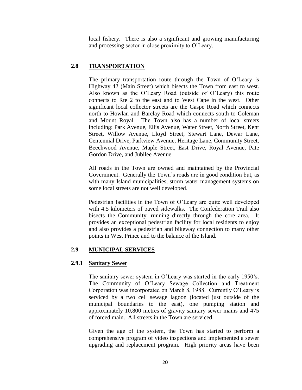local fishery. There is also a significant and growing manufacturing and processing sector in close proximity to O'Leary.

# **2.8 TRANSPORTATION**

The primary transportation route through the Town of O'Leary is Highway 42 (Main Street) which bisects the Town from east to west. Also known as the O'Leary Road (outside of O'Leary) this route connects to Rte 2 to the east and to West Cape in the west. Other significant local collector streets are the Gaspe Road which connects north to Howlan and Barclay Road which connects south to Coleman and Mount Royal. The Town also has a number of local streets including: Park Avenue, Ellis Avenue, Water Street, North Street, Kent Street, Willow Avenue, Lloyd Street, Stewart Lane, Dewar Lane, Centennial Drive, Parkview Avenue, Heritage Lane, Community Street, Beechwood Avenue, Maple Street, East Drive, Royal Avenue, Pate Gordon Drive, and Jubilee Avenue.

All roads in the Town are owned and maintained by the Provincial Government. Generally the Town's roads are in good condition but, as with many Island municipalities, storm water management systems on some local streets are not well developed.

Pedestrian facilities in the Town of O'Leary are quite well developed with 4.5 kilometers of paved sidewalks. The Confederation Trail also bisects the Community, running directly through the core area. It provides an exceptional pedestrian facility for local residents to enjoy and also provides a pedestrian and bikeway connection to many other points in West Prince and to the balance of the Island.

# **2.9 MUNICIPAL SERVICES**

# **2.9.1 Sanitary Sewer**

The sanitary sewer system in O'Leary was started in the early 1950's. The Community of O'Leary Sewage Collection and Treatment Corporation was incorporated on March 8, 1988. Currently O'Leary is serviced by a two cell sewage lagoon (located just outside of the municipal boundaries to the east), one pumping station and approximately 10,800 metres of gravity sanitary sewer mains and 475 of forced main. All streets in the Town are serviced.

Given the age of the system, the Town has started to perform a comprehensive program of video inspections and implemented a sewer upgrading and replacement program. High priority areas have been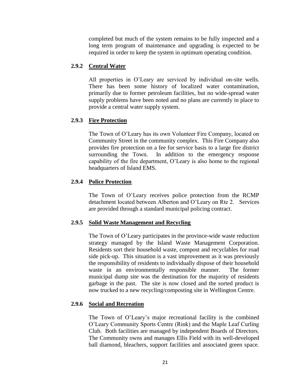completed but much of the system remains to be fully inspected and a long term program of maintenance and upgrading is expected to be required in order to keep the system in optimum operating condition.

# **2.9.2 Central Water**

All properties in O'Leary are serviced by individual on-site wells. There has been some history of localized water contamination, primarily due to former petroleum facilities, but no wide-spread water supply problems have been noted and no plans are currently in place to provide a central water supply system.

# **2.9.3 Fire Protection**

The Town of O'Leary has its own Volunteer Fire Company, located on Community Street in the community complex. This Fire Company also provides fire protection on a fee for service basis to a large fire district surrounding the Town. In addition to the emergency response capability of the fire department, O'Leary is also home to the regional headquarters of Island EMS.

# **2.9.4 Police Protection**

The Town of O'Leary receives police protection from the RCMP detachment located between Alberton and O'Leary on Rte 2. Services are provided through a standard municipal policing contract.

# **2.9.5 Solid Waste Management and Recycling**

The Town of O'Leary participates in the province-wide waste reduction strategy managed by the Island Waste Management Corporation. Residents sort their household waste, compost and recyclables for road side pick-up. This situation is a vast improvement as it was previously the responsibility of residents to individually dispose of their household waste in an environmentally responsible manner. The former municipal dump site was the destination for the majority of residents garbage in the past. The site is now closed and the sorted product is now trucked to a new recycling/composting site in Wellington Centre.

# **2.9.6 Social and Recreation**

The Town of O'Leary's major recreational facility is the combined O'Leary Community Sports Centre (Rink) and the Maple Leaf Curling Club. Both facilities are managed by independent Boards of Directors. The Community owns and manages Ellis Field with its well-developed ball diamond, bleachers, support facilities and associated green space.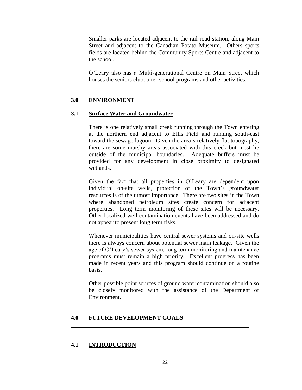Smaller parks are located adjacent to the rail road station, along Main Street and adjacent to the Canadian Potato Museum. Others sports fields are located behind the Community Sports Centre and adjacent to the school.

O'Leary also has a Multi-generational Centre on Main Street which houses the seniors club, after-school programs and other activities.

# **3.0 ENVIRONMENT**

# **3.1 Surface Water and Groundwater**

There is one relatively small creek running through the Town entering at the northern end adjacent to Ellis Field and running south-east toward the sewage lagoon. Given the area's relatively flat topography, there are some marshy areas associated with this creek but most lie outside of the municipal boundaries. Adequate buffers must be provided for any development in close proximity to designated wetlands.

Given the fact that all properties in O'Leary are dependent upon individual on-site wells, protection of the Town's groundwater resources is of the utmost importance. There are two sites in the Town where abandoned petroleum sites create concern for adjacent properties. Long term monitoring of these sites will be necessary. Other localized well contamination events have been addressed and do not appear to present long term risks.

Whenever municipalities have central sewer systems and on-site wells there is always concern about potential sewer main leakage. Given the age of O'Leary's sewer system, long term monitoring and maintenance programs must remain a high priority. Excellent progress has been made in recent years and this program should continue on a routine basis.

Other possible point sources of ground water contamination should also be closely monitored with the assistance of the Department of Environment.

#### **4.0 FUTURE DEVELOPMENT GOALS**

# **4.1 INTRODUCTION**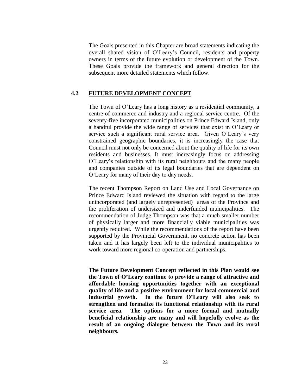The Goals presented in this Chapter are broad statements indicating the overall shared vision of O'Leary's Council, residents and property owners in terms of the future evolution or development of the Town. These Goals provide the framework and general direction for the subsequent more detailed statements which follow.

# **4.2 FUTURE DEVELOPMENT CONCEPT**

The Town of O'Leary has a long history as a residential community, a centre of commerce and industry and a regional service centre. Of the seventy-five incorporated municipalities on Prince Edward Island, only a handful provide the wide range of services that exist in O'Leary or service such a significant rural service area. Given O'Leary's very constrained geographic boundaries, it is increasingly the case that Council must not only be concerned about the quality of life for its own residents and businesses. It must increasingly focus on addressing O'Leary's relationship with its rural neighbours and the many people and companies outside of its legal boundaries that are dependent on O'Leary for many of their day to day needs.

The recent Thompson Report on Land Use and Local Governance on Prince Edward Island reviewed the situation with regard to the large unincorporated (and largely unrepresented) areas of the Province and the proliferation of undersized and underfunded municipalities. The recommendation of Judge Thompson was that a much smaller number of physically larger and more financially viable municipalities was urgently required. While the recommendations of the report have been supported by the Provincial Government, no concrete action has been taken and it has largely been left to the individual municipalities to work toward more regional co-operation and partnerships.

**The Future Development Concept reflected in this Plan would see the Town of O'Leary continue to provide a range of attractive and affordable housing opportunities together with an exceptional quality of life and a positive environment for local commercial and industrial growth. In the future O'Leary will also seek to strengthen and formalize its functional relationship with its rural service area. The options for a more formal and mutually beneficial relationship are many and will hopefully evolve as the result of an ongoing dialogue between the Town and its rural neighbours.**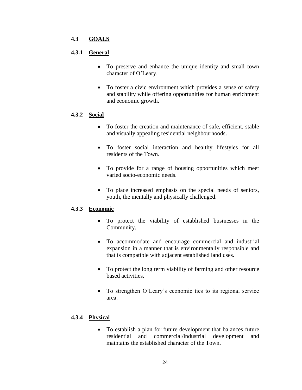# **4.3 GOALS**

# **4.3.1 General**

- To preserve and enhance the unique identity and small town character of O'Leary.
- To foster a civic environment which provides a sense of safety and stability while offering opportunities for human enrichment and economic growth.

# **4.3.2 Social**

- To foster the creation and maintenance of safe, efficient, stable and visually appealing residential neighbourhoods.
- To foster social interaction and healthy lifestyles for all residents of the Town.
- To provide for a range of housing opportunities which meet varied socio-economic needs.
- To place increased emphasis on the special needs of seniors, youth, the mentally and physically challenged.

# **4.3.3 Economic**

- To protect the viability of established businesses in the Community.
- To accommodate and encourage commercial and industrial expansion in a manner that is environmentally responsible and that is compatible with adjacent established land uses.
- To protect the long term viability of farming and other resource based activities.
- To strengthen O'Leary's economic ties to its regional service area.

# **4.3.4 Physical**

 To establish a plan for future development that balances future residential and commercial/industrial development and maintains the established character of the Town.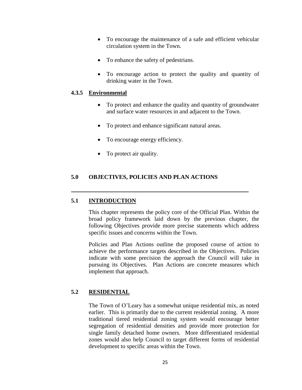- To encourage the maintenance of a safe and efficient vehicular circulation system in the Town.
- To enhance the safety of pedestrians.
- To encourage action to protect the quality and quantity of drinking water in the Town.

# **4.3.5 Environmental**

- To protect and enhance the quality and quantity of groundwater and surface water resources in and adjacent to the Town.
- To protect and enhance significant natural areas.
- To encourage energy efficiency.
- To protect air quality.

# **5.0 OBJECTIVES, POLICIES AND PLAN ACTIONS**

# **5.1 INTRODUCTION**

This chapter represents the policy core of the Official Plan. Within the broad policy framework laid down by the previous chapter, the following Objectives provide more precise statements which address specific issues and concerns within the Town.

Policies and Plan Actions outline the proposed course of action to achieve the performance targets described in the Objectives. Policies indicate with some precision the approach the Council will take in pursuing its Objectives. Plan Actions are concrete measures which implement that approach.

# **5.2 RESIDENTIAL**

The Town of O'Leary has a somewhat unique residential mix, as noted earlier. This is primarily due to the current residential zoning. A more traditional tiered residential zoning system would encourage better segregation of residential densities and provide more protection for single family detached home owners. More differentiated residential zones would also help Council to target different forms of residential development to specific areas within the Town.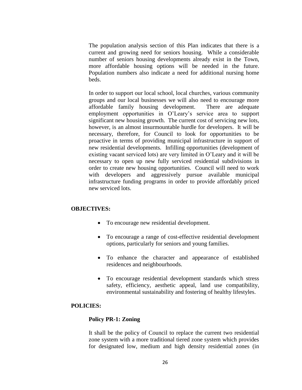The population analysis section of this Plan indicates that there is a current and growing need for seniors housing. While a considerable number of seniors housing developments already exist in the Town, more affordable housing options will be needed in the future. Population numbers also indicate a need for additional nursing home beds.

In order to support our local school, local churches, various community groups and our local businesses we will also need to encourage more affordable family housing development. There are adequate employment opportunities in O'Leary's service area to support significant new housing growth. The current cost of servicing new lots, however, is an almost insurmountable hurdle for developers. It will be necessary, therefore, for Council to look for opportunities to be proactive in terms of providing municipal infrastructure in support of new residential developments. Infilling opportunities (development of existing vacant serviced lots) are very limited in O'Leary and it will be necessary to open up new fully serviced residential subdivisions in order to create new housing opportunities. Council will need to work with developers and aggressively pursue available municipal infrastructure funding programs in order to provide affordably priced new serviced lots.

## **OBJECTIVES:**

- To encourage new residential development.
- To encourage a range of cost-effective residential development options, particularly for seniors and young families.
- To enhance the character and appearance of established residences and neighbourhoods.
- To encourage residential development standards which stress safety, efficiency, aesthetic appeal, land use compatibility, environmental sustainability and fostering of healthy lifestyles.

#### **POLICIES:**

#### **Policy PR-1: Zoning**

It shall be the policy of Council to replace the current two residential zone system with a more traditional tiered zone system which provides for designated low, medium and high density residential zones (in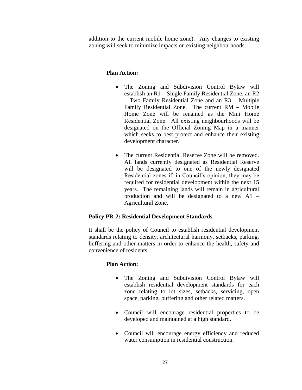addition to the current mobile home zone). Any changes to existing zoning will seek to minimize impacts on existing neighbourhoods.

# **Plan Action:**

- The Zoning and Subdivision Control Bylaw will establish an R1 – Single Family Residential Zone, an R2 – Two Family Residential Zone and an R3 – Multiple Family Residential Zone. The current RM – Mobile Home Zone will be renamed as the Mini Home Residential Zone. All existing neighbourhoods will be designated on the Official Zoning Map in a manner which seeks to best protect and enhance their existing development character.
- The current Residential Reserve Zone will be removed. All lands currently designated as Residential Reserve will be designated to one of the newly designated Residential zones if, in Council's opinion, they may be required for residential development within the next 15 years. The remaining lands will remain in agricultural production and will be designated to a new A1 – Agricultural Zone.

# **Policy PR-2: Residential Development Standards**

It shall be the policy of Council to establish residential development standards relating to density, architectural harmony, setbacks, parking, buffering and other matters in order to enhance the health, safety and convenience of residents.

# **Plan Action:**

- The Zoning and Subdivision Control Bylaw will establish residential development standards for each zone relating to lot sizes, setbacks, servicing, open space, parking, buffering and other related matters.
- Council will encourage residential properties to be developed and maintained at a high standard.
- Council will encourage energy efficiency and reduced water consumption in residential construction.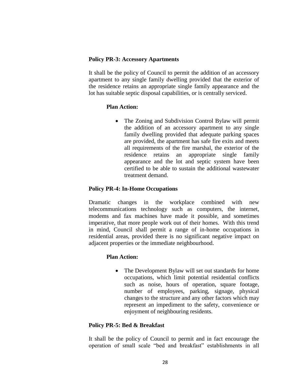#### **Policy PR-3: Accessory Apartments**

It shall be the policy of Council to permit the addition of an accessory apartment to any single family dwelling provided that the exterior of the residence retains an appropriate single family appearance and the lot has suitable septic disposal capabilities, or is centrally serviced.

#### **Plan Action:**

 The Zoning and Subdivision Control Bylaw will permit the addition of an accessory apartment to any single family dwelling provided that adequate parking spaces are provided, the apartment has safe fire exits and meets all requirements of the fire marshal, the exterior of the residence retains an appropriate single family appearance and the lot and septic system have been certified to be able to sustain the additional wastewater treatment demand.

# **Policy PR-4: In-Home Occupations**

Dramatic changes in the workplace combined with new telecommunications technology such as computers, the internet, modems and fax machines have made it possible, and sometimes imperative, that more people work out of their homes. With this trend in mind, Council shall permit a range of in-home occupations in residential areas, provided there is no significant negative impact on adjacent properties or the immediate neighbourhood.

# **Plan Action:**

• The Development Bylaw will set out standards for home occupations, which limit potential residential conflicts such as noise, hours of operation, square footage, number of employees, parking, signage, physical changes to the structure and any other factors which may represent an impediment to the safety, convenience or enjoyment of neighbouring residents.

# **Policy PR-5: Bed & Breakfast**

It shall be the policy of Council to permit and in fact encourage the operation of small scale "bed and breakfast" establishments in all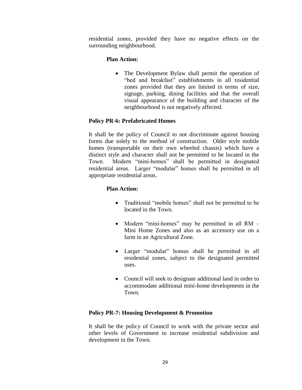residential zones, provided they have no negative effects on the surrounding neighbourhood.

# **Plan Action:**

• The Development Bylaw shall permit the operation of "bed and breakfast" establishments in all residential zones provided that they are limited in terms of size, signage, parking, dining facilities and that the overall visual appearance of the building and character of the neighbourhood is not negatively affected.

# **Policy PR-6: Prefabricated Homes**

It shall be the policy of Council to not discriminate against housing forms due solely to the method of construction. Older style mobile homes (transportable on their own wheeled chassis) which have a distinct style and character shall not be permitted to be located in the Town. Modern "mini-homes" shall be permitted in designated residential areas. Larger "modular" homes shall be permitted in all appropriate residential areas.

# **Plan Action:**

- Traditional "mobile homes" shall not be permitted to be located in the Town.
- Modern "mini-homes" may be permitted in all RM Mini Home Zones and also as an accessory use on a farm in an Agricultural Zone.
- Larger "modular" homes shall be permitted in all residential zones, subject to the designated permitted uses.
- Council will seek to designate additional land in order to accommodate additional mini-home developments in the Town.

# **Policy PR-7: Housing Development & Promotion**

It shall be the policy of Council to work with the private sector and other levels of Government to increase residential subdivision and development in the Town.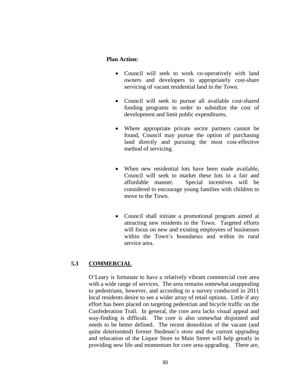#### **Plan Action:**

- Council will seek to work co-operatively with land owners and developers to appropriately cost-share servicing of vacant residential land in the Town.
- Council will seek to pursue all available cost-shared funding programs in order to subsidize the cost of development and limit public expenditures.
- Where appropriate private sector partners cannot be found, Council may pursue the option of purchasing land directly and pursuing the most cost-effective method of servicing.
- When new residential lots have been made available, Council will seek to market these lots in a fair and affordable manner. Special incentives will be considered to encourage young families with children to move to the Town.
- Council shall initiate a promotional program aimed at attracting new residents to the Town. Targeted efforts will focus on new and existing employees of businesses within the Town's boundaries and within its rural service area.

# **5.3 COMMERCIAL**

O'Leary is fortunate to have a relatively vibrant commercial core area with a wide range of services. The area remains somewhat unappealing to pedestrians, however, and according to a survey conducted in 2011 local residents desire to see a wider array of retail options. Little if any effort has been placed on targeting pedestrian and bicycle traffic on the Confederation Trail. In general, the core area lacks visual appeal and way-finding is difficult. The core is also somewhat disjointed and needs to be better defined. The recent demolition of the vacant (and quite deteriorated) former Stedman's store and the current upgrading and relocation of the Liquor Store to Main Street will help greatly in providing new life and momentum for core area upgrading. There are,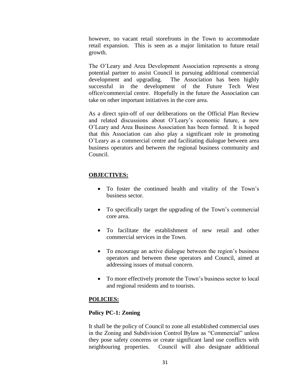however, no vacant retail storefronts in the Town to accommodate retail expansion. This is seen as a major limitation to future retail growth.

The O'Leary and Area Development Association represents a strong potential partner to assist Council in pursuing additional commercial development and upgrading. The Association has been highly successful in the development of the Future Tech West office/commercial centre. Hopefully in the future the Association can take on other important initiatives in the core area.

As a direct spin-off of our deliberations on the Official Plan Review and related discussions about O'Leary's economic future, a new O'Leary and Area Business Association has been formed. It is hoped that this Association can also play a significant role in promoting O'Leary as a commercial centre and facilitating dialogue between area business operators and between the regional business community and Council.

#### **OBJECTIVES:**

- To foster the continued health and vitality of the Town's business sector.
- To specifically target the upgrading of the Town's commercial core area.
- To facilitate the establishment of new retail and other commercial services in the Town.
- To encourage an active dialogue between the region's business operators and between these operators and Council, aimed at addressing issues of mutual concern.
- To more effectively promote the Town's business sector to local and regional residents and to tourists.

# **POLICIES:**

#### **Policy PC-1: Zoning**

It shall be the policy of Council to zone all established commercial uses in the Zoning and Subdivision Control Bylaw as "Commercial" unless they pose safety concerns or create significant land use conflicts with neighbouring properties. Council will also designate additional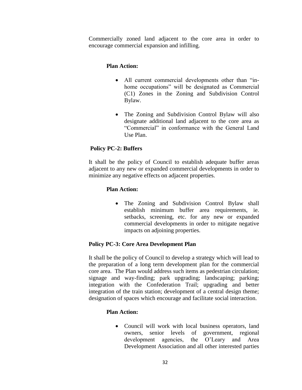Commercially zoned land adjacent to the core area in order to encourage commercial expansion and infilling.

# **Plan Action:**

- All current commercial developments other than "inhome occupations" will be designated as Commercial (C1) Zones in the Zoning and Subdivision Control Bylaw.
- The Zoning and Subdivision Control Bylaw will also designate additional land adjacent to the core area as "Commercial" in conformance with the General Land Use Plan.

# **Policy PC-2: Buffers**

It shall be the policy of Council to establish adequate buffer areas adjacent to any new or expanded commercial developments in order to minimize any negative effects on adjacent properties.

# **Plan Action:**

• The Zoning and Subdivision Control Bylaw shall establish minimum buffer area requirements, ie. setbacks, screening, etc. for any new or expanded commercial developments in order to mitigate negative impacts on adjoining properties.

# **Policy PC-3: Core Area Development Plan**

It shall be the policy of Council to develop a strategy which will lead to the preparation of a long term development plan for the commercial core area. The Plan would address such items as pedestrian circulation; signage and way-finding; park upgrading; landscaping; parking; integration with the Confederation Trail; upgrading and better integration of the train station; development of a central design theme; designation of spaces which encourage and facilitate social interaction.

# **Plan Action:**

• Council will work with local business operators, land owners, senior levels of government, regional development agencies, the O'Leary and Area Development Association and all other interested parties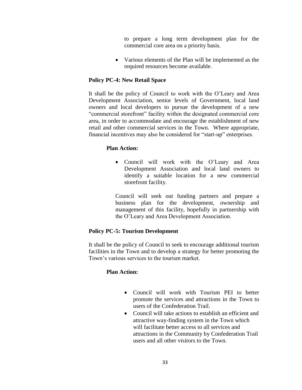to prepare a long term development plan for the commercial core area on a priority basis.

 Various elements of the Plan will be implemented as the required resources become available.

# **Policy PC-4: New Retail Space**

It shall be the policy of Council to work with the O'Leary and Area Development Association, senior levels of Government, local land owners and local developers to pursue the development of a new "commercial storefront" facility within the designated commercial core area, in order to accommodate and encourage the establishment of new retail and other commercial services in the Town. Where appropriate, financial incentives may also be considered for "start-up" enterprises.

# **Plan Action:**

 Council will work with the O'Leary and Area Development Association and local land owners to identify a suitable location for a new commercial storefront facility.

Council will seek out funding partners and prepare a business plan for the development, ownership and management of this facility, hopefully in partnership with the O'Leary and Area Development Association.

# **Policy PC-5: Tourism Development**

It shall be the policy of Council to seek to encourage additional tourism facilities in the Town and to develop a strategy for better promoting the Town's various services to the tourism market.

# **Plan Action:**

- Council will work with Tourism PEI to better promote the services and attractions in the Town to users of the Confederation Trail.
- Council will take actions to establish an efficient and attractive way-finding system in the Town which will facilitate better access to all services and attractions in the Community by Confederation Trail users and all other visitors to the Town.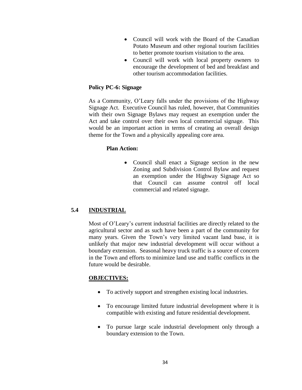- Council will work with the Board of the Canadian Potato Museum and other regional tourism facilities to better promote tourism visitation to the area.
- Council will work with local property owners to encourage the development of bed and breakfast and other tourism accommodation facilities.

#### **Policy PC-6: Signage**

As a Community, O'Leary falls under the provisions of the Highway Signage Act. Executive Council has ruled, however, that Communities with their own Signage Bylaws may request an exemption under the Act and take control over their own local commercial signage. This would be an important action in terms of creating an overall design theme for the Town and a physically appealing core area.

#### **Plan Action:**

• Council shall enact a Signage section in the new Zoning and Subdivision Control Bylaw and request an exemption under the Highway Signage Act so that Council can assume control off local commercial and related signage.

# **5.4 INDUSTRIAL**

Most of O'Leary's current industrial facilities are directly related to the agricultural sector and as such have been a part of the community for many years. Given the Town's very limited vacant land base, it is unlikely that major new industrial development will occur without a boundary extension. Seasonal heavy truck traffic is a source of concern in the Town and efforts to minimize land use and traffic conflicts in the future would be desirable.

# **OBJECTIVES:**

- To actively support and strengthen existing local industries.
- To encourage limited future industrial development where it is compatible with existing and future residential development.
- To pursue large scale industrial development only through a boundary extension to the Town.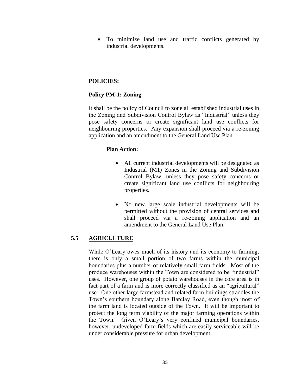To minimize land use and traffic conflicts generated by industrial developments.

# **POLICIES:**

# **Policy PM-1: Zoning**

It shall be the policy of Council to zone all established industrial uses in the Zoning and Subdivision Control Bylaw as "Industrial" unless they pose safety concerns or create significant land use conflicts for neighbouring properties. Any expansion shall proceed via a re-zoning application and an amendment to the General Land Use Plan.

# **Plan Action:**

- All current industrial developments will be designated as Industrial (M1) Zones in the Zoning and Subdivision Control Bylaw, unless they pose safety concerns or create significant land use conflicts for neighbouring properties.
- No new large scale industrial developments will be permitted without the provision of central services and shall proceed via a re-zoning application and an amendment to the General Land Use Plan.

# **5.5 AGRICULTURE**

While O'Leary owes much of its history and its economy to farming, there is only a small portion of two farms within the municipal boundaries plus a number of relatively small farm fields. Most of the produce warehouses within the Town are considered to be "industrial" uses. However, one group of potato warehouses in the core area is in fact part of a farm and is more correctly classified as an "agricultural" use. One other large farmstead and related farm buildings straddles the Town's southern boundary along Barclay Road, even though most of the farm land is located outside of the Town. It will be important to protect the long term viability of the major farming operations within the Town. Given O'Leary's very confined municipal boundaries, however, undeveloped farm fields which are easily serviceable will be under considerable pressure for urban development.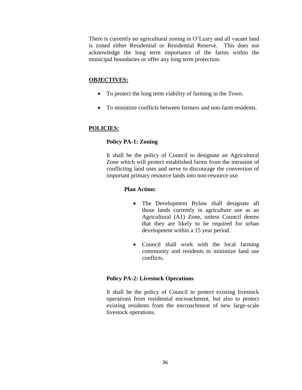There is currently no agricultural zoning in O'Leary and all vacant land is zoned either Residential or Residential Reserve. This does not acknowledge the long term importance of the farms within the municipal boundaries or offer any long term protection.

# **OBJECTIVES:**

- To protect the long term viability of farming in the Town.
- To minimize conflicts between farmers and non-farm residents.

# **POLICIES:**

# **Policy PA-1: Zoning**

It shall be the policy of Council to designate an Agricultural Zone which will protect established farms from the intrusion of conflicting land uses and serve to discourage the conversion of important primary resource lands into non-resource use.

# **Plan Action:**

- The Development Bylaw shall designate all those lands currently in agriculture use as an Agricultural (A1) Zone, unless Council deems that they are likely to be required for urban development within a 15 year period.
- Council shall work with the local farming community and residents to minimize land use conflicts.

# **Policy PA-2: Livestock Operations**

It shall be the policy of Council to protect existing livestock operations from residential encroachment, but also to protect existing residents from the encroachment of new large-scale livestock operations.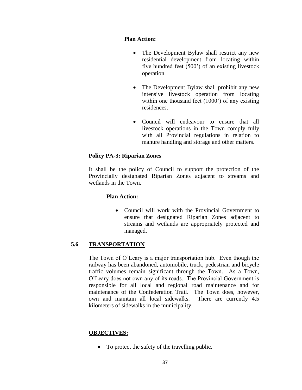# **Plan Action:**

- The Development Bylaw shall restrict any new residential development from locating within five hundred feet (500') of an existing livestock operation.
- The Development Bylaw shall prohibit any new intensive livestock operation from locating within one thousand feet (1000<sup>o</sup>) of any existing residences.
- Council will endeavour to ensure that all livestock operations in the Town comply fully with all Provincial regulations in relation to manure handling and storage and other matters.

# **Policy PA-3: Riparian Zones**

It shall be the policy of Council to support the protection of the Provincially designated Riparian Zones adjacent to streams and wetlands in the Town.

# **Plan Action:**

• Council will work with the Provincial Government to ensure that designated Riparian Zones adjacent to streams and wetlands are appropriately protected and managed.

# **5.6 TRANSPORTATION**

The Town of O'Leary is a major transportation hub. Even though the railway has been abandoned, automobile, truck, pedestrian and bicycle traffic volumes remain significant through the Town. As a Town, O'Leary does not own any of its roads. The Provincial Government is responsible for all local and regional road maintenance and for maintenance of the Confederation Trail. The Town does, however, own and maintain all local sidewalks. There are currently 4.5 kilometers of sidewalks in the municipality.

# **OBJECTIVES:**

• To protect the safety of the travelling public.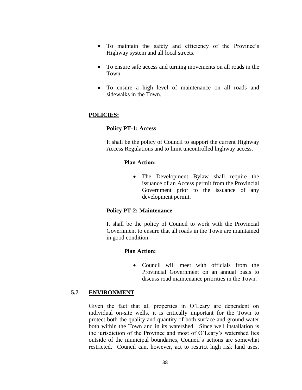- To maintain the safety and efficiency of the Province's Highway system and all local streets.
- To ensure safe access and turning movements on all roads in the Town.
- To ensure a high level of maintenance on all roads and sidewalks in the Town.

# **POLICIES:**

# **Policy PT-1: Access**

It shall be the policy of Council to support the current Highway Access Regulations and to limit uncontrolled highway access.

#### **Plan Action:**

• The Development Bylaw shall require the issuance of an Access permit from the Provincial Government prior to the issuance of any development permit.

#### **Policy PT-2: Maintenance**

It shall be the policy of Council to work with the Provincial Government to ensure that all roads in the Town are maintained in good condition.

#### **Plan Action:**

 Council will meet with officials from the Provincial Government on an annual basis to discuss road maintenance priorities in the Town.

#### **5.7 ENVIRONMENT**

Given the fact that all properties in O'Leary are dependent on individual on-site wells, it is critically important for the Town to protect both the quality and quantity of both surface and ground water both within the Town and in its watershed. Since well installation is the jurisdiction of the Province and most of O'Leary's watershed lies outside of the municipal boundaries, Council's actions are somewhat restricted. Council can, however, act to restrict high risk land uses,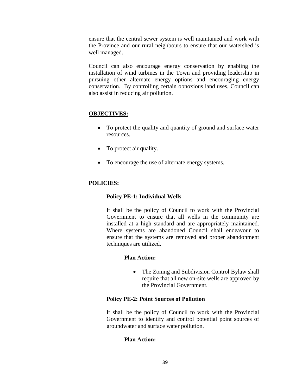ensure that the central sewer system is well maintained and work with the Province and our rural neighbours to ensure that our watershed is well managed.

Council can also encourage energy conservation by enabling the installation of wind turbines in the Town and providing leadership in pursuing other alternate energy options and encouraging energy conservation. By controlling certain obnoxious land uses, Council can also assist in reducing air pollution.

# **OBJECTIVES:**

- To protect the quality and quantity of ground and surface water resources.
- To protect air quality.
- To encourage the use of alternate energy systems.

# **POLICIES:**

# **Policy PE-1: Individual Wells**

It shall be the policy of Council to work with the Provincial Government to ensure that all wells in the community are installed at a high standard and are appropriately maintained. Where systems are abandoned Council shall endeavour to ensure that the systems are removed and proper abandonment techniques are utilized.

# **Plan Action:**

• The Zoning and Subdivision Control Bylaw shall require that all new on-site wells are approved by the Provincial Government.

#### **Policy PE-2: Point Sources of Pollution**

It shall be the policy of Council to work with the Provincial Government to identify and control potential point sources of groundwater and surface water pollution.

# **Plan Action:**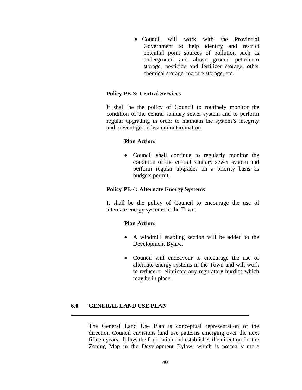• Council will work with the Provincial Government to help identify and restrict potential point sources of pollution such as underground and above ground petroleum storage, pesticide and fertilizer storage, other chemical storage, manure storage, etc.

#### **Policy PE-3: Central Services**

It shall be the policy of Council to routinely monitor the condition of the central sanitary sewer system and to perform regular upgrading in order to maintain the system's integrity and prevent groundwater contamination.

#### **Plan Action:**

 Council shall continue to regularly monitor the condition of the central sanitary sewer system and perform regular upgrades on a priority basis as budgets permit.

#### **Policy PE-4: Alternate Energy Systems**

It shall be the policy of Council to encourage the use of alternate energy systems in the Town.

#### **Plan Action:**

- A windmill enabling section will be added to the Development Bylaw.
- Council will endeavour to encourage the use of alternate energy systems in the Town and will work to reduce or eliminate any regulatory hurdles which may be in place.

#### **6.0 GENERAL LAND USE PLAN**

The General Land Use Plan is conceptual representation of the direction Council envisions land use patterns emerging over the next fifteen years. It lays the foundation and establishes the direction for the Zoning Map in the Development Bylaw, which is normally more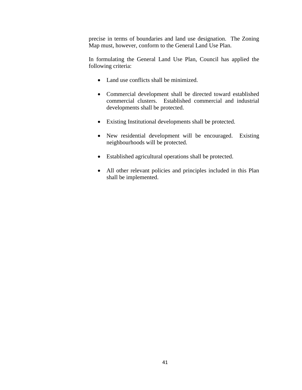precise in terms of boundaries and land use designation. The Zoning Map must, however, conform to the General Land Use Plan.

In formulating the General Land Use Plan, Council has applied the following criteria:

- Land use conflicts shall be minimized.
- Commercial development shall be directed toward established commercial clusters. Established commercial and industrial developments shall be protected.
- Existing Institutional developments shall be protected.
- New residential development will be encouraged. Existing neighbourhoods will be protected.
- Established agricultural operations shall be protected.
- All other relevant policies and principles included in this Plan shall be implemented.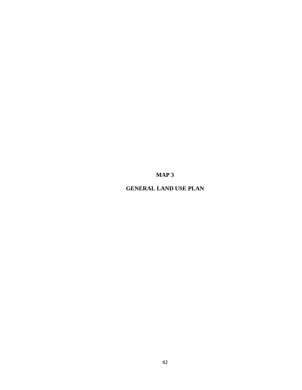**MAP 3**

**GENERAL LAND USE PLAN**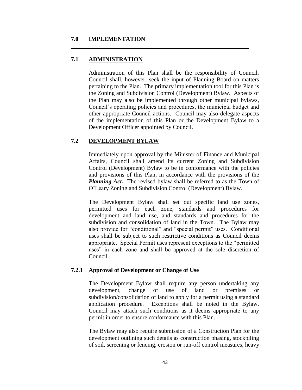#### **7.0 IMPLEMENTATION**

# **7.1 ADMINISTRATION**

Administration of this Plan shall be the responsibility of Council. Council shall, however, seek the input of Planning Board on matters pertaining to the Plan. The primary implementation tool for this Plan is the Zoning and Subdivision Control (Development) Bylaw. Aspects of the Plan may also be implemented through other municipal bylaws, Council's operating policies and procedures, the municipal budget and other appropriate Council actions. Council may also delegate aspects of the implementation of this Plan or the Development Bylaw to a Development Officer appointed by Council.

# **7.2 DEVELOPMENT BYLAW**

Immediately upon approval by the Minister of Finance and Municipal Affairs, Council shall amend its current Zoning and Subdivision Control (Development) Bylaw to be in conformance with the policies and provisions of this Plan, in accordance with the provisions of the *Planning Act.* The revised bylaw shall be referred to as the Town of O'Leary Zoning and Subdivision Control (Development) Bylaw.

The Development Bylaw shall set out specific land use zones, permitted uses for each zone, standards and procedures for development and land use, and standards and procedures for the subdivision and consolidation of land in the Town. The Bylaw may also provide for "conditional" and "special permit" uses. Conditional uses shall be subject to such restrictive conditions as Council deems appropriate. Special Permit uses represent exceptions to the "permitted uses" in each zone and shall be approved at the sole discretion of Council.

# **7.2.1 Approval of Development or Change of Use**

The Development Bylaw shall require any person undertaking any development, change of use of land or premises or subdivision/consolidation of land to apply for a permit using a standard application procedure. Exceptions shall be noted in the Bylaw. Council may attach such conditions as it deems appropriate to any permit in order to ensure conformance with this Plan.

The Bylaw may also require submission of a Construction Plan for the development outlining such details as construction phasing, stockpiling of soil, screening or fencing, erosion or run-off control measures, heavy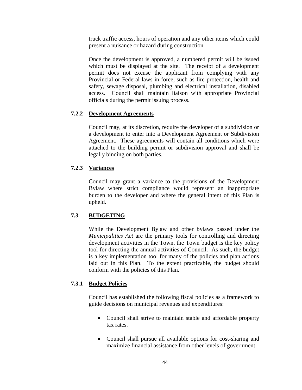truck traffic access, hours of operation and any other items which could present a nuisance or hazard during construction.

Once the development is approved, a numbered permit will be issued which must be displayed at the site. The receipt of a development permit does not excuse the applicant from complying with any Provincial or Federal laws in force, such as fire protection, health and safety, sewage disposal, plumbing and electrical installation, disabled access. Council shall maintain liaison with appropriate Provincial officials during the permit issuing process.

# **7.2.2 Development Agreements**

Council may, at its discretion, require the developer of a subdivision or a development to enter into a Development Agreement or Subdivision Agreement. These agreements will contain all conditions which were attached to the building permit or subdivision approval and shall be legally binding on both parties.

# **7.2.3 Variances**

Council may grant a variance to the provisions of the Development Bylaw where strict compliance would represent an inappropriate burden to the developer and where the general intent of this Plan is upheld.

# **7.3 BUDGETING**

While the Development Bylaw and other bylaws passed under the *Municipalities Act* are the primary tools for controlling and directing development activities in the Town, the Town budget is the key policy tool for directing the annual activities of Council. As such, the budget is a key implementation tool for many of the policies and plan actions laid out in this Plan. To the extent practicable, the budget should conform with the policies of this Plan.

# **7.3.1 Budget Policies**

Council has established the following fiscal policies as a framework to guide decisions on municipal revenues and expenditures:

- Council shall strive to maintain stable and affordable property tax rates.
- Council shall pursue all available options for cost-sharing and maximize financial assistance from other levels of government.